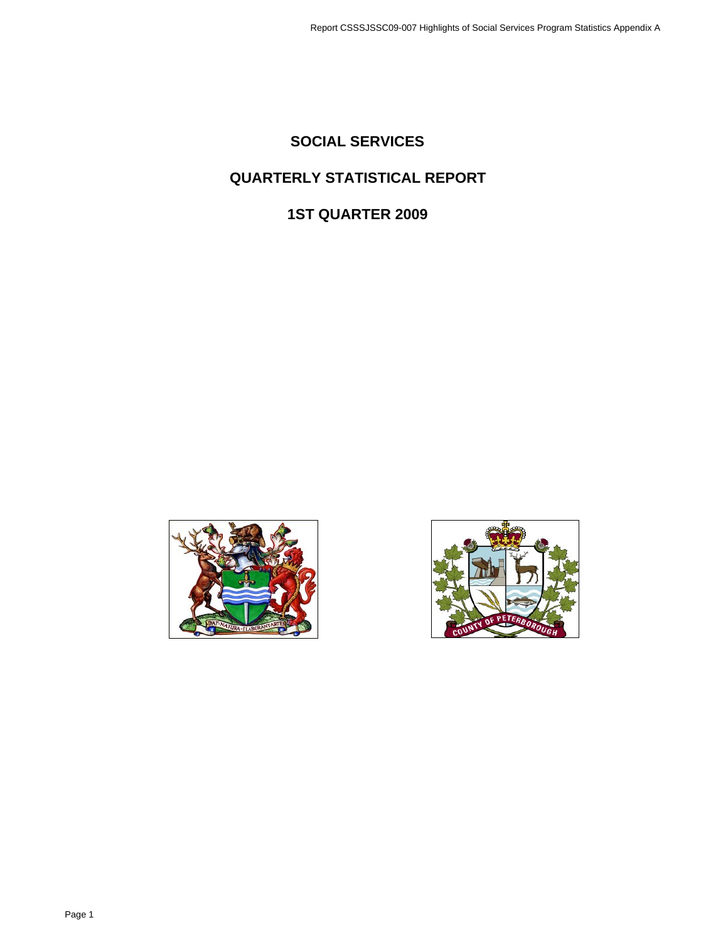# **SOCIAL SERVICES**

# **QUARTERLY STATISTICAL REPORT**

# **1ST QUARTER 2009**



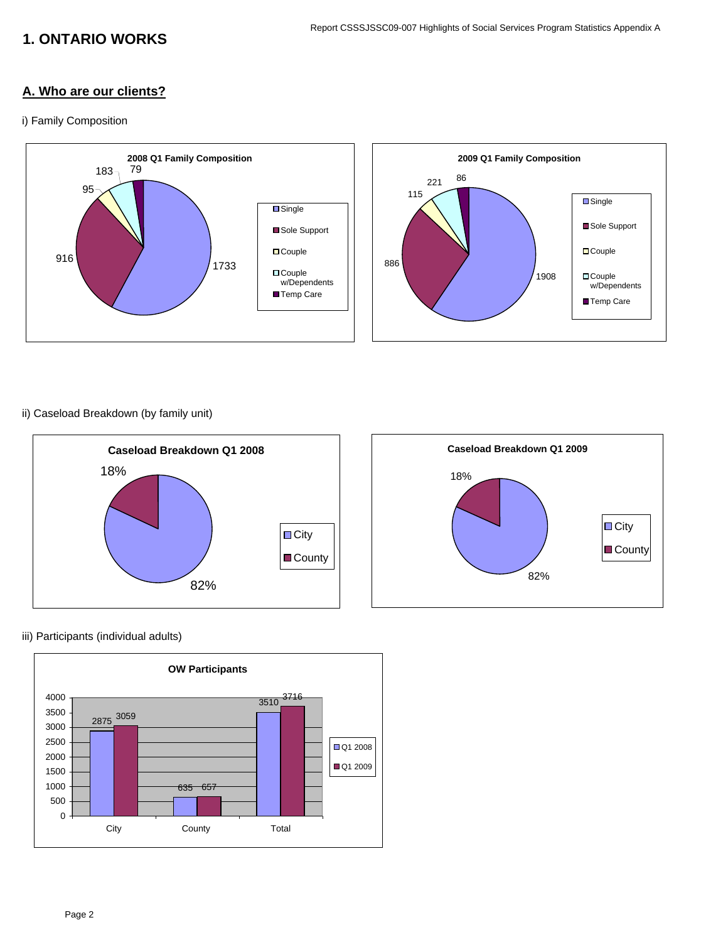# **1. ONTARIO WORKS**

### **A. Who are our clients?**

#### i) Family Composition



### ii) Caseload Breakdown (by family unit)



#### iii) Participants (individual adults)

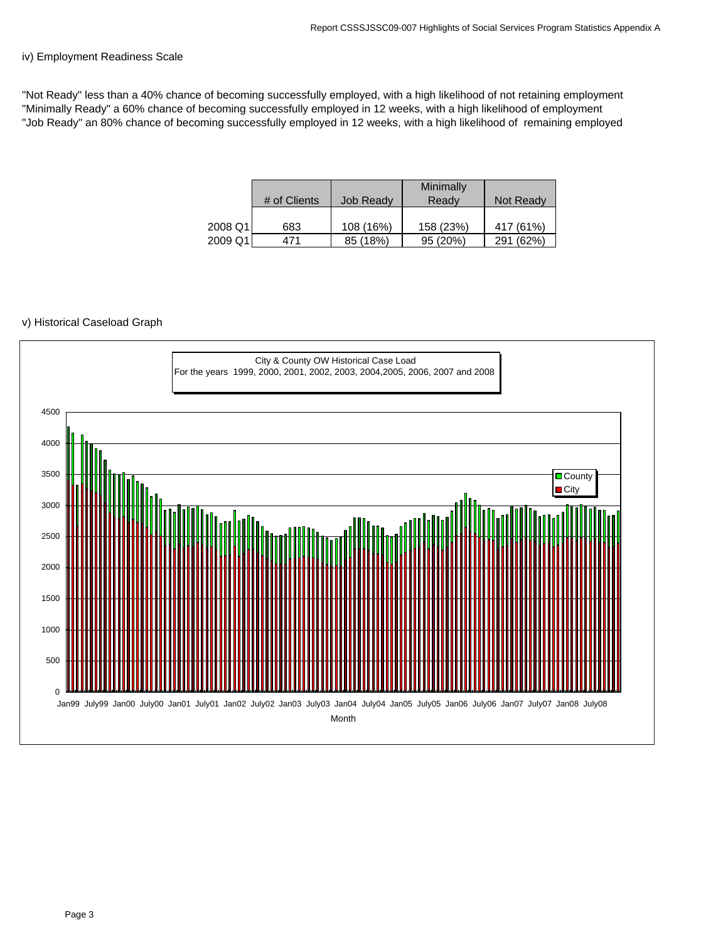#### iv) Employment Readiness Scale

"Not Ready" less than a 40% chance of becoming successfully employed, with a high likelihood of not retaining employment "Minimally Ready" a 60% chance of becoming successfully employed in 12 weeks, with a high likelihood of employment "Job Ready" an 80% chance of becoming successfully employed in 12 weeks, with a high likelihood of remaining employed

|         |              |                  | Minimally |              |
|---------|--------------|------------------|-----------|--------------|
|         | # of Clients | <b>Job Ready</b> | Ready     | Not Ready    |
|         |              |                  |           |              |
| 2008 Q1 | 683          | 108 (16%)        | 158 (23%) | 417 (61%)    |
| 2009 Q1 | 471          | 85 (18%)         | 95(20%)   | (62%)<br>291 |

#### v) Historical Caseload Graph

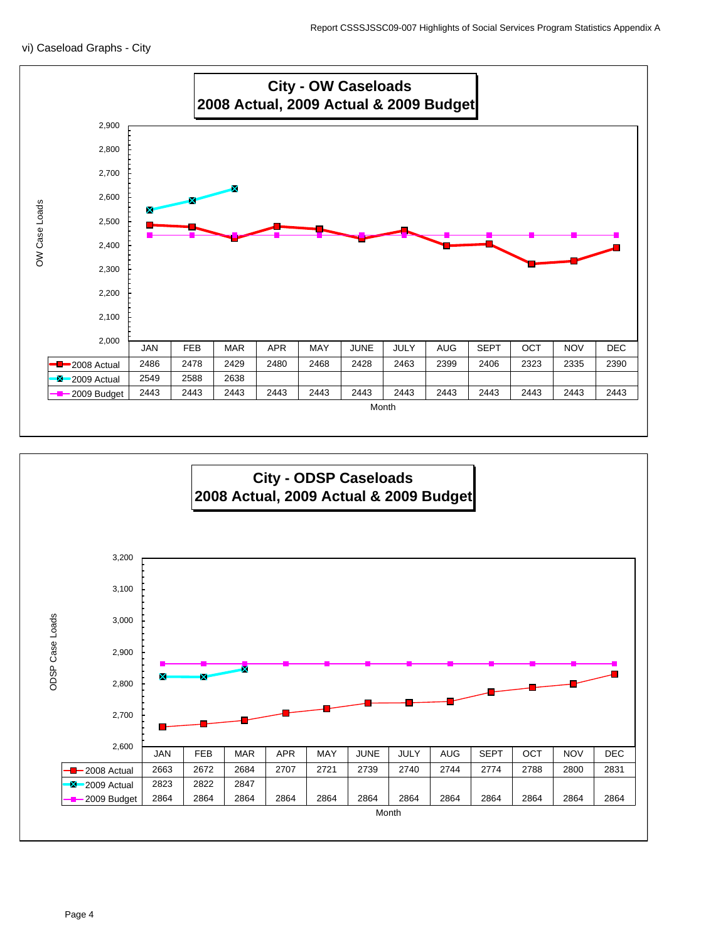

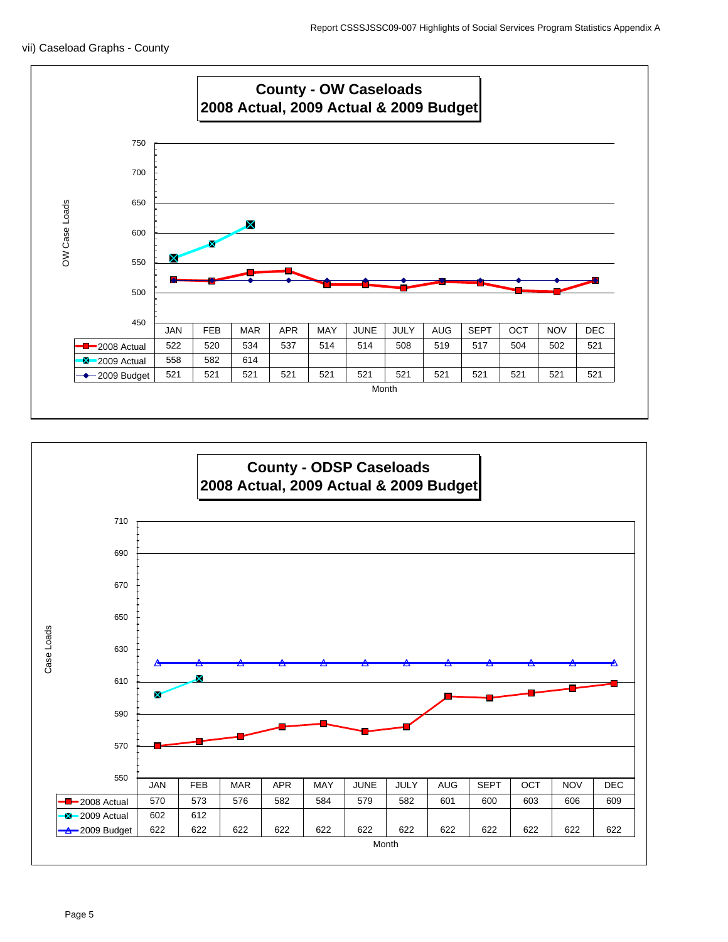

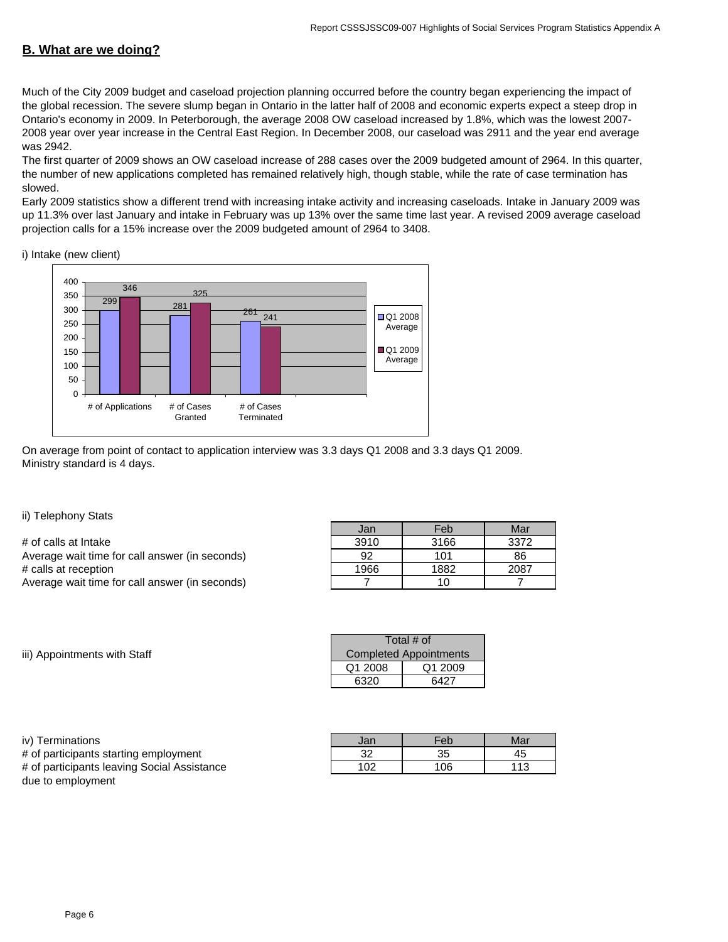## **B. What are we doing?**

Much of the City 2009 budget and caseload projection planning occurred before the country began experiencing the impact of the global recession. The severe slump began in Ontario in the latter half of 2008 and economic experts expect a steep drop in Ontario's economy in 2009. In Peterborough, the average 2008 OW caseload increased by 1.8%, which was the lowest 2007- 2008 year over year increase in the Central East Region. In December 2008, our caseload was 2911 and the year end average was 2942.

The first quarter of 2009 shows an OW caseload increase of 288 cases over the 2009 budgeted amount of 2964. In this quarter, the number of new applications completed has remained relatively high, though stable, while the rate of case termination has slowed.

Early 2009 statistics show a different trend with increasing intake activity and increasing caseloads. Intake in January 2009 was up 11.3% over last January and intake in February was up 13% over the same time last year. A revised 2009 average caseload projection calls for a 15% increase over the 2009 budgeted amount of 2964 to 3408.

i) Intake (new client)



On average from point of contact to application interview was 3.3 days Q1 2008 and 3.3 days Q1 2009. Ministry standard is 4 days.

ii) Telephony Stats

| # of calls at Intake                           | 3910 | 3166 | 3372 |
|------------------------------------------------|------|------|------|
| Average wait time for call answer (in seconds) | 92   | 101  | 86   |
| # calls at reception                           | 1966 | 1882 | 2087 |
| Average wait time for call answer (in seconds) |      | 10   |      |

| Jan  | Feb  | Mar  |
|------|------|------|
| 3910 | 3166 | 3372 |
| 92   | 101  | 86   |
| 1966 | 1882 | 2087 |
|      | 10   |      |

iii) Appointments with Staff

| Total # of                    |  |  |  |  |
|-------------------------------|--|--|--|--|
| <b>Completed Appointments</b> |  |  |  |  |
| Q1 2008<br>Q1 2009            |  |  |  |  |
| 6320<br>6427                  |  |  |  |  |

iv) Terminations

# of participants starting employment # of participants leaving Social Assistance due to employment

| Jan | Feb | Mar |
|-----|-----|-----|
| 32  | 35  |     |
| 102 | 106 | 113 |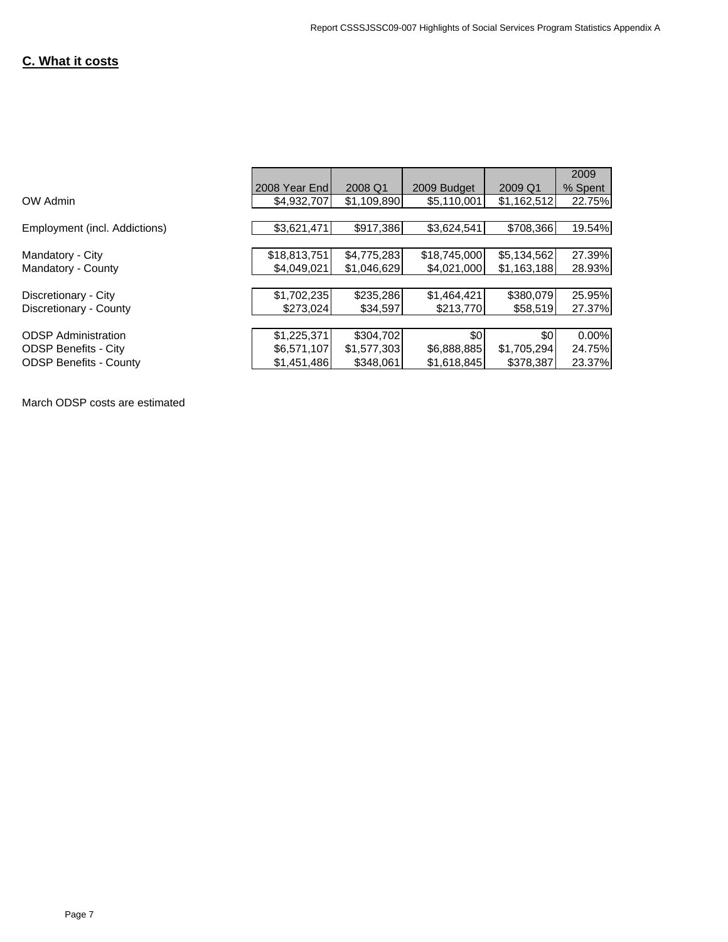## **C. What it costs**

|                               |               |             |              |             | 2009    |
|-------------------------------|---------------|-------------|--------------|-------------|---------|
|                               | 2008 Year End | 2008 Q1     | 2009 Budget  | 2009 Q1     | % Spent |
| OW Admin                      | \$4.932.707   | \$1,109,890 | \$5,110,001  | \$1,162,512 | 22.75%  |
|                               |               |             |              |             |         |
| Employment (incl. Addictions) | \$3,621,471   | \$917,386   | \$3,624,541  | \$708,366   | 19.54%  |
|                               |               |             |              |             |         |
| Mandatory - City              | \$18,813,751  | \$4,775,283 | \$18,745,000 | \$5,134,562 | 27.39%  |
| Mandatory - County            | \$4,049,021   | \$1,046,629 | \$4,021,000  | \$1,163,188 | 28.93%  |
|                               |               |             |              |             |         |
| Discretionary - City          | \$1,702,235   | \$235,286   | \$1,464,421  | \$380,079   | 25.95%  |
| Discretionary - County        | \$273,024     | \$34.597    | \$213,770    | \$58,519    | 27.37%  |
|                               |               |             |              |             |         |
| <b>ODSP</b> Administration    | \$1,225,371   | \$304.702   | \$0          | \$0         | 0.00%   |
| <b>ODSP Benefits - City</b>   | \$6,571,107   | \$1,577,303 | \$6,888,885  | \$1,705,294 | 24.75%  |
| <b>ODSP Benefits - County</b> | \$1,451,486   | \$348,061   | \$1,618,845  | \$378,387   | 23.37%  |

March ODSP costs are estimated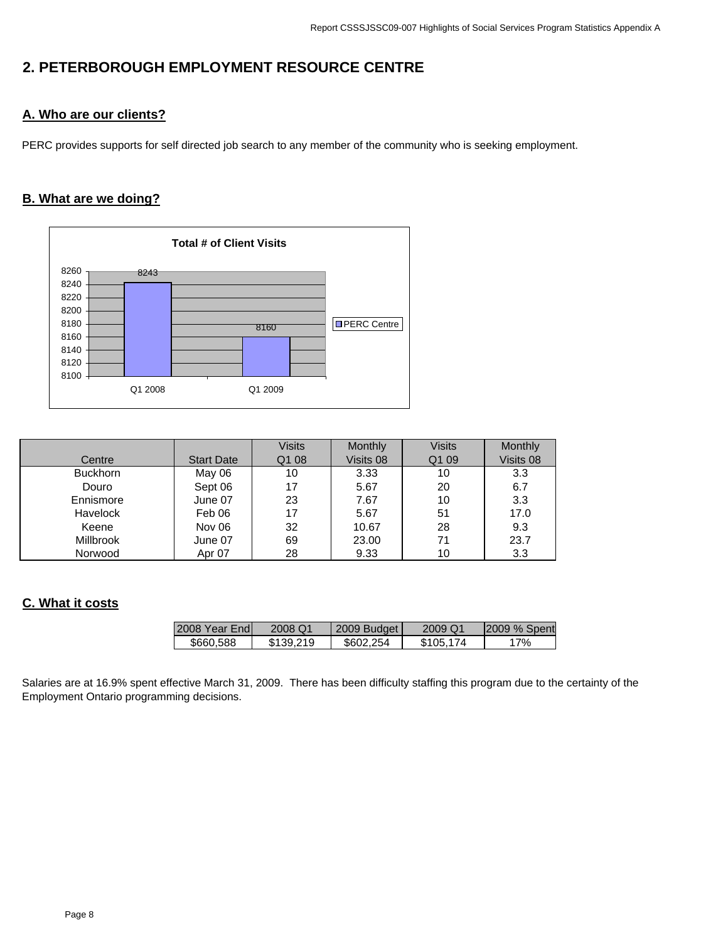# **2. PETERBOROUGH EMPLOYMENT RESOURCE CENTRE**

## **A. Who are our clients?**

PERC provides supports for self directed job search to any member of the community who is seeking employment.

## **B. What are we doing?**



|                  |                   | <b>Visits</b> | Monthly   | <b>Visits</b>     | Monthly   |
|------------------|-------------------|---------------|-----------|-------------------|-----------|
| Centre           | <b>Start Date</b> | Q1 08         | Visits 08 | Q <sub>1</sub> 09 | Visits 08 |
| <b>Buckhorn</b>  | May 06            | 10            | 3.33      | 10                | 3.3       |
| Douro            | Sept 06           | 17            | 5.67      | 20                | 6.7       |
| Ennismore        | June 07           | 23            | 7.67      | 10                | 3.3       |
| <b>Havelock</b>  | Feb 06            | 17            | 5.67      | 51                | 17.0      |
| Keene            | Nov 06            | 32            | 10.67     | 28                | 9.3       |
| <b>Millbrook</b> | June 07           | 69            | 23.00     | 71                | 23.7      |
| Norwood          | Apr 07            | 28            | 9.33      | 10                | 3.3       |

## **C. What it costs**

| 2008 Year Endl | 2008 Q1   | 2009 Budget | 2009 Q1   | 2009 % Spent |
|----------------|-----------|-------------|-----------|--------------|
| \$660.588      | \$139.219 | \$602.254   | \$105.174 | 17%          |

Salaries are at 16.9% spent effective March 31, 2009. There has been difficulty staffing this program due to the certainty of the Employment Ontario programming decisions.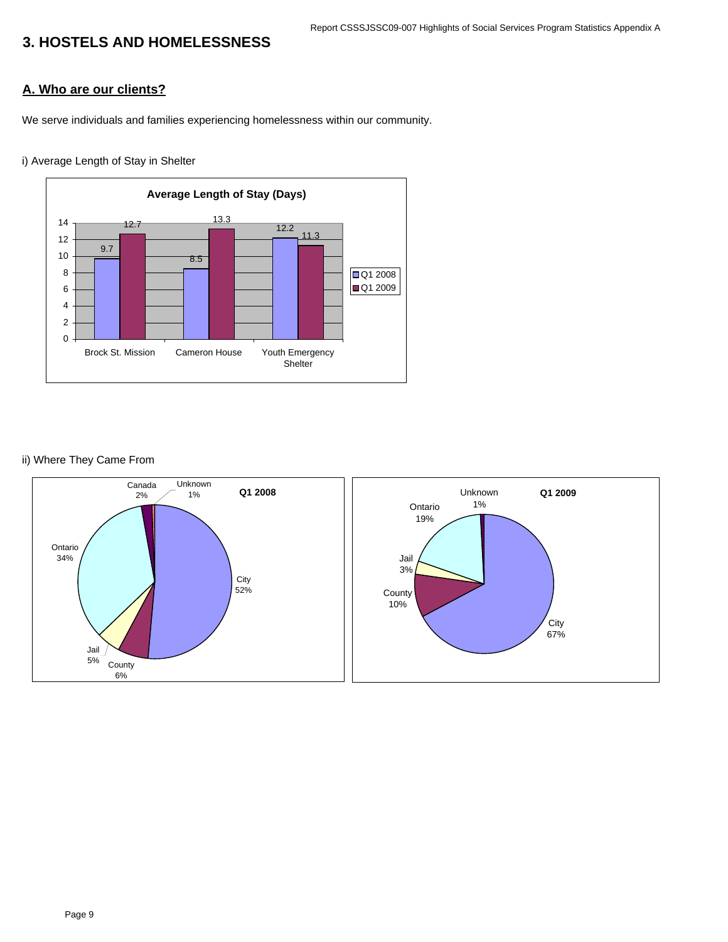#### Report CSSSJSSC09-007 Highlights of Social Services Program Statistics Appendix A

# **3. HOSTELS AND HOMELESSNESS**

### **A. Who are our clients?**

We serve individuals and families experiencing homelessness within our community.

### i) Average Length of Stay in Shelter



#### ii) Where They Came From

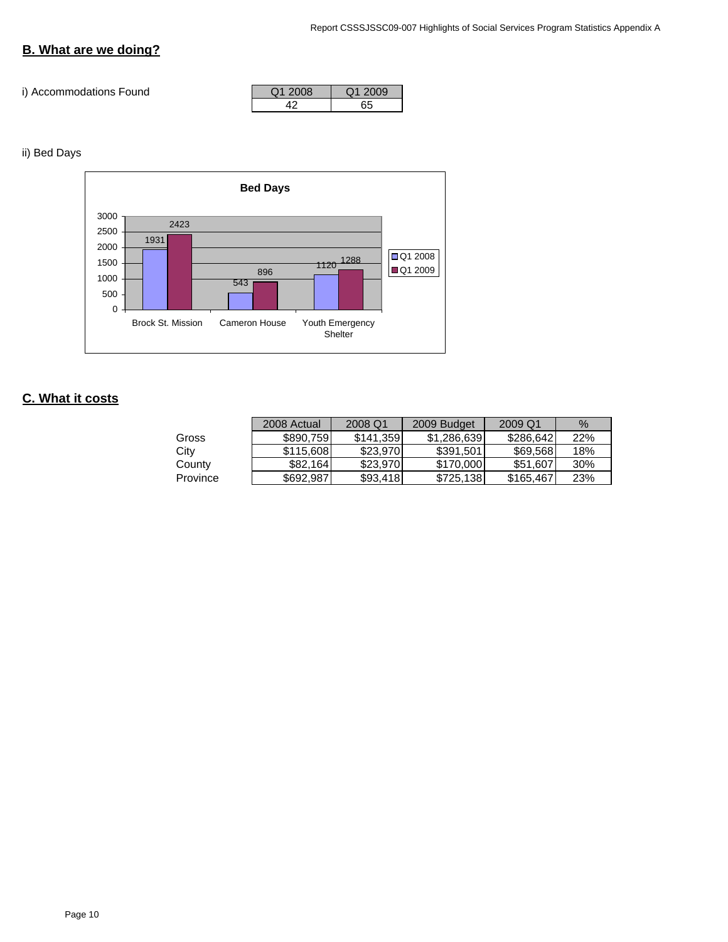# **B. What are we doing?**

### i) Accommodations Found

| Q1 2008 | O12009 |
|---------|--------|
|         |        |

### ii) Bed Days



## **C. What it costs**

|          | 2008 Actual | 2008 Q1   | 2009 Budget | 2009 Q1   | %   |
|----------|-------------|-----------|-------------|-----------|-----|
| Gross    | \$890.759   | \$141.359 | \$1,286,639 | \$286,642 | 22% |
| City     | \$115,608   | \$23,970  | \$391.501   | \$69,568  | 18% |
| County   | \$82.164    | \$23,970  | \$170,000   | \$51,607  | 30% |
| Province | \$692.987   | \$93,418  | \$725,138   | \$165,467 | 23% |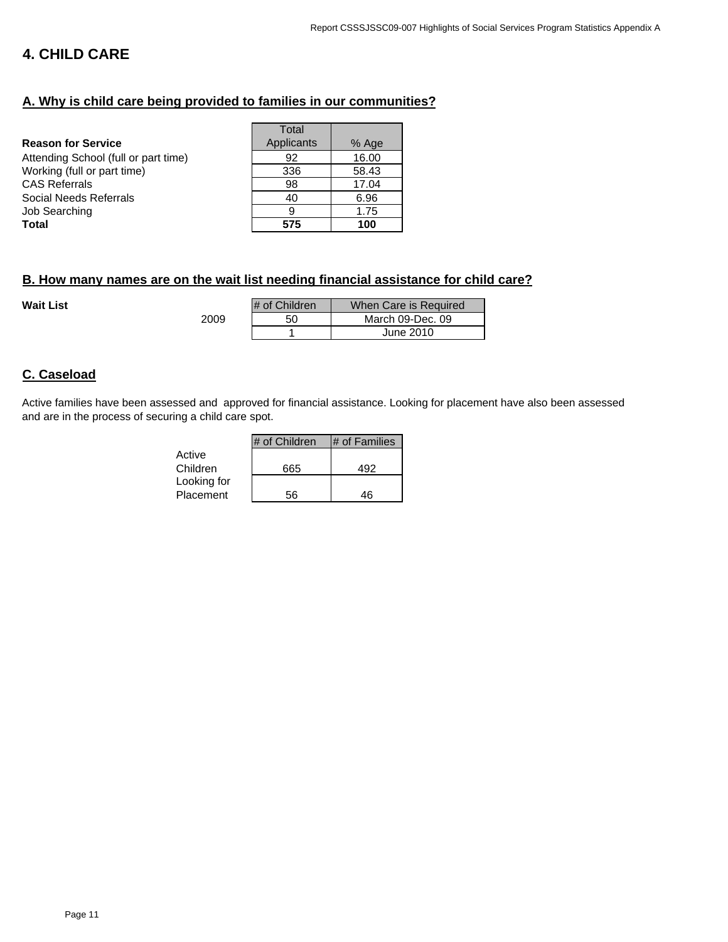# **4. CHILD CARE**

## **A. Why is child care being provided to families in our communities?**

|                                      | Total      |       |
|--------------------------------------|------------|-------|
| <b>Reason for Service</b>            | Applicants | % Age |
| Attending School (full or part time) | 92         | 16.00 |
| Working (full or part time)          | 336        | 58.43 |
| CAS Referrals                        | 98         | 17.04 |
| Social Needs Referrals               | 40         | 6.96  |
| Job Searching                        | 9          | 1.75  |
| Total                                | 575        | 100   |
|                                      |            |       |

2009

## **B. How many names are on the wait list needing financial assistance for child care?**

**Wait List** 

| # of Children | When Care is Required |
|---------------|-----------------------|
| 50            | March 09-Dec. 09      |
|               | June 2010             |

### **C. Caseload**

Active families have been assessed and approved for financial assistance. Looking for placement have also been assessed and are in the process of securing a child care spot.

|             | # of Children | # of Families |
|-------------|---------------|---------------|
| Active      |               |               |
| Children    | 665           | 492           |
| Looking for |               |               |
| Placement   | 56            | 46            |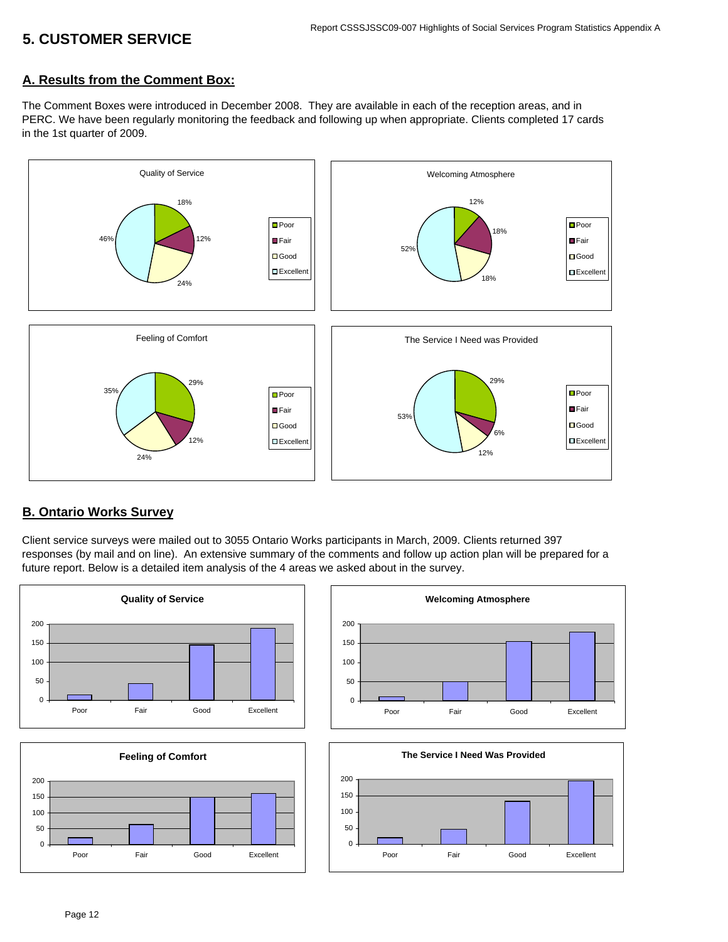# **5. CUSTOMER SERVICE**

### **A. Results from the Comment Box:**

The Comment Boxes were introduced in December 2008. They are available in each of the reception areas, and in PERC. We have been regularly monitoring the feedback and following up when appropriate. Clients completed 17 cards in the 1st quarter of 2009.



### **B. Ontario Works Survey**

Client service surveys were mailed out to 3055 Ontario Works participants in March, 2009. Clients returned 397 responses (by mail and on line). An extensive summary of the comments and follow up action plan will be prepared for a future report. Below is a detailed item analysis of the 4 areas we asked about in the survey.